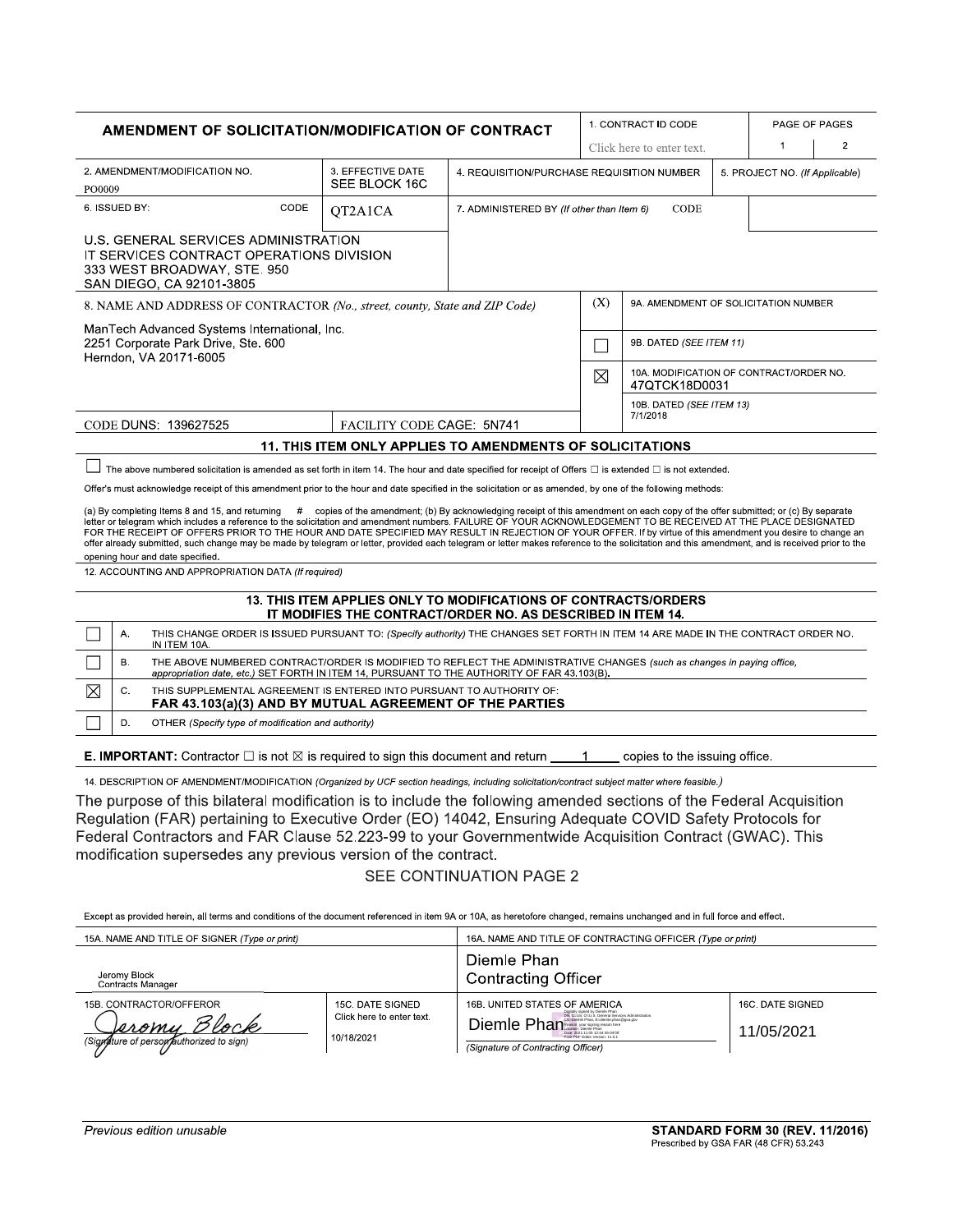| <b>AMENDMENT OF SOLICITATION/MODIFICATION OF CONTRACT</b>                                                                                                                                                                                                                                                                                                                                                                                                                                                                                                                                                                                                                                                                                                                                                                                                                                                                                                                       |                                                                                                                                                                                                                                    |                                                                                                                                                                                                                                                                                                                                                                                                                                                                                                                                                          |                                    |                                                                                                                                | 1. CONTRACT ID CODE                                      |                                      | PAGE OF PAGES |                                |                |
|---------------------------------------------------------------------------------------------------------------------------------------------------------------------------------------------------------------------------------------------------------------------------------------------------------------------------------------------------------------------------------------------------------------------------------------------------------------------------------------------------------------------------------------------------------------------------------------------------------------------------------------------------------------------------------------------------------------------------------------------------------------------------------------------------------------------------------------------------------------------------------------------------------------------------------------------------------------------------------|------------------------------------------------------------------------------------------------------------------------------------------------------------------------------------------------------------------------------------|----------------------------------------------------------------------------------------------------------------------------------------------------------------------------------------------------------------------------------------------------------------------------------------------------------------------------------------------------------------------------------------------------------------------------------------------------------------------------------------------------------------------------------------------------------|------------------------------------|--------------------------------------------------------------------------------------------------------------------------------|----------------------------------------------------------|--------------------------------------|---------------|--------------------------------|----------------|
|                                                                                                                                                                                                                                                                                                                                                                                                                                                                                                                                                                                                                                                                                                                                                                                                                                                                                                                                                                                 |                                                                                                                                                                                                                                    |                                                                                                                                                                                                                                                                                                                                                                                                                                                                                                                                                          |                                    |                                                                                                                                |                                                          | Click here to enter text.            |               | $\mathbf 1$                    | $\overline{2}$ |
| 2. AMENDMENT/MODIFICATION NO.<br>PO0009                                                                                                                                                                                                                                                                                                                                                                                                                                                                                                                                                                                                                                                                                                                                                                                                                                                                                                                                         |                                                                                                                                                                                                                                    |                                                                                                                                                                                                                                                                                                                                                                                                                                                                                                                                                          | 3. EFFECTIVE DATE<br>SEE BLOCK 16C |                                                                                                                                | 4. REQUISITION/PURCHASE REQUISITION NUMBER               |                                      |               | 5. PROJECT NO. (If Applicable) |                |
| 6. ISSUED BY:<br>CODE                                                                                                                                                                                                                                                                                                                                                                                                                                                                                                                                                                                                                                                                                                                                                                                                                                                                                                                                                           |                                                                                                                                                                                                                                    |                                                                                                                                                                                                                                                                                                                                                                                                                                                                                                                                                          | QT2A1CA                            | CODE<br>7. ADMINISTERED BY (If other than Item 6)                                                                              |                                                          |                                      |               |                                |                |
|                                                                                                                                                                                                                                                                                                                                                                                                                                                                                                                                                                                                                                                                                                                                                                                                                                                                                                                                                                                 |                                                                                                                                                                                                                                    | U.S. GENERAL SERVICES ADMINISTRATION<br>IT SERVICES CONTRACT OPERATIONS DIVISION<br>333 WEST BROADWAY, STE. 950<br>SAN DIEGO, CA 92101-3805                                                                                                                                                                                                                                                                                                                                                                                                              |                                    |                                                                                                                                |                                                          |                                      |               |                                |                |
| 8. NAME AND ADDRESS OF CONTRACTOR (No., street, county, State and ZIP Code)                                                                                                                                                                                                                                                                                                                                                                                                                                                                                                                                                                                                                                                                                                                                                                                                                                                                                                     |                                                                                                                                                                                                                                    |                                                                                                                                                                                                                                                                                                                                                                                                                                                                                                                                                          |                                    |                                                                                                                                | (X)                                                      | 9A. AMENDMENT OF SOLICITATION NUMBER |               |                                |                |
|                                                                                                                                                                                                                                                                                                                                                                                                                                                                                                                                                                                                                                                                                                                                                                                                                                                                                                                                                                                 |                                                                                                                                                                                                                                    | ManTech Advanced Systems International, Inc.<br>2251 Corporate Park Drive, Ste. 600<br>Herndon, VA 20171-6005                                                                                                                                                                                                                                                                                                                                                                                                                                            |                                    |                                                                                                                                | 9B. DATED (SEE ITEM 11)                                  |                                      |               |                                |                |
|                                                                                                                                                                                                                                                                                                                                                                                                                                                                                                                                                                                                                                                                                                                                                                                                                                                                                                                                                                                 |                                                                                                                                                                                                                                    |                                                                                                                                                                                                                                                                                                                                                                                                                                                                                                                                                          |                                    | ⊠                                                                                                                              | 10A. MODIFICATION OF CONTRACT/ORDER NO.<br>47QTCK18D0031 |                                      |               |                                |                |
|                                                                                                                                                                                                                                                                                                                                                                                                                                                                                                                                                                                                                                                                                                                                                                                                                                                                                                                                                                                 |                                                                                                                                                                                                                                    | CODE DUNS: 139627525                                                                                                                                                                                                                                                                                                                                                                                                                                                                                                                                     | FACILITY CODE CAGE: 5N741          |                                                                                                                                |                                                          | 10B. DATED (SEE ITEM 13)<br>7/1/2018 |               |                                |                |
|                                                                                                                                                                                                                                                                                                                                                                                                                                                                                                                                                                                                                                                                                                                                                                                                                                                                                                                                                                                 |                                                                                                                                                                                                                                    |                                                                                                                                                                                                                                                                                                                                                                                                                                                                                                                                                          |                                    | <b>11. THIS ITEM ONLY APPLIES TO AMENDMENTS OF SOLICITATIONS</b>                                                               |                                                          |                                      |               |                                |                |
| Offer's must acknowledge receipt of this amendment prior to the hour and date specified in the solicitation or as amended, by one of the following methods:<br>(a) By completing Items 8 and 15, and returning # copies of the amendment; (b) By acknowledging receipt of this amendment on each copy of the offer submitted; or (c) By separate<br>letter or telegram which includes a reference to the solicitation and amendment numbers. FAILURE OF YOUR ACKNOWLEDGEMENT TO BE RECEIVED AT THE PLACE DESIGNATED<br>FOR THE RECEIPT OF OFFERS PRIOR TO THE HOUR AND DATE SPECIFIED MAY RESULT IN REJECTION OF YOUR OFFER. If by virtue of this amendment you desire to change an<br>offer already submitted, such change may be made by telegram or letter, provided each telegram or letter makes reference to the solicitation and this amendment, and is received prior to the<br>opening hour and date specified.<br>12. ACCOUNTING AND APPROPRIATION DATA (If required) |                                                                                                                                                                                                                                    |                                                                                                                                                                                                                                                                                                                                                                                                                                                                                                                                                          |                                    |                                                                                                                                |                                                          |                                      |               |                                |                |
|                                                                                                                                                                                                                                                                                                                                                                                                                                                                                                                                                                                                                                                                                                                                                                                                                                                                                                                                                                                 |                                                                                                                                                                                                                                    |                                                                                                                                                                                                                                                                                                                                                                                                                                                                                                                                                          |                                    | 13. THIS ITEM APPLIES ONLY TO MODIFICATIONS OF CONTRACTS/ORDERS<br>IT MODIFIES THE CONTRACT/ORDER NO. AS DESCRIBED IN ITEM 14. |                                                          |                                      |               |                                |                |
|                                                                                                                                                                                                                                                                                                                                                                                                                                                                                                                                                                                                                                                                                                                                                                                                                                                                                                                                                                                 | THIS CHANGE ORDER IS ISSUED PURSUANT TO: (Specify authority) THE CHANGES SET FORTH IN ITEM 14 ARE MADE IN THE CONTRACT ORDER NO.<br>Α.<br>IN ITEM 10A.                                                                             |                                                                                                                                                                                                                                                                                                                                                                                                                                                                                                                                                          |                                    |                                                                                                                                |                                                          |                                      |               |                                |                |
|                                                                                                                                                                                                                                                                                                                                                                                                                                                                                                                                                                                                                                                                                                                                                                                                                                                                                                                                                                                 | THE ABOVE NUMBERED CONTRACT/ORDER IS MODIFIED TO REFLECT THE ADMINISTRATIVE CHANGES (such as changes in paying office,<br><b>B.</b><br>appropriation date, etc.) SET FORTH IN ITEM 14, PURSUANT TO THE AUTHORITY OF FAR 43.103(B). |                                                                                                                                                                                                                                                                                                                                                                                                                                                                                                                                                          |                                    |                                                                                                                                |                                                          |                                      |               |                                |                |
| ⊠                                                                                                                                                                                                                                                                                                                                                                                                                                                                                                                                                                                                                                                                                                                                                                                                                                                                                                                                                                               | THIS SUPPLEMENTAL AGREEMENT IS ENTERED INTO PURSUANT TO AUTHORITY OF:<br>C.<br>FAR 43.103(a)(3) AND BY MUTUAL AGREEMENT OF THE PARTIES                                                                                             |                                                                                                                                                                                                                                                                                                                                                                                                                                                                                                                                                          |                                    |                                                                                                                                |                                                          |                                      |               |                                |                |
|                                                                                                                                                                                                                                                                                                                                                                                                                                                                                                                                                                                                                                                                                                                                                                                                                                                                                                                                                                                 | D.                                                                                                                                                                                                                                 | OTHER (Specify type of modification and authority)                                                                                                                                                                                                                                                                                                                                                                                                                                                                                                       |                                    |                                                                                                                                |                                                          |                                      |               |                                |                |
| <b>E. IMPORTANT:</b> Contractor $\square$ is not $\boxtimes$ is required to sign this document and return<br>copies to the issuing office.<br>-1                                                                                                                                                                                                                                                                                                                                                                                                                                                                                                                                                                                                                                                                                                                                                                                                                                |                                                                                                                                                                                                                                    |                                                                                                                                                                                                                                                                                                                                                                                                                                                                                                                                                          |                                    |                                                                                                                                |                                                          |                                      |               |                                |                |
|                                                                                                                                                                                                                                                                                                                                                                                                                                                                                                                                                                                                                                                                                                                                                                                                                                                                                                                                                                                 |                                                                                                                                                                                                                                    | 14. DESCRIPTION OF AMENDMENT/MODIFICATION (Organized by UCF section headings, including solicitation/contract subject matter where feasible.)<br>The purpose of this bilateral modification is to include the following amended sections of the Federal Acquisition<br>Regulation (FAR) pertaining to Executive Order (EO) 14042, Ensuring Adequate COVID Safety Protocols for<br>Federal Contractors and FAR Clause 52.223-99 to your Governmentwide Acquisition Contract (GWAC). This<br>modification supersedes any previous version of the contract. |                                    | SEE CONTINUATION PAGE 2                                                                                                        |                                                          |                                      |               |                                |                |

Except as provided herein, all terms and conditions of the document referenced in item 9A or 10A, as heretofore changed, remains unchanged and in full force and effect.

| 15A. NAME AND TITLE OF SIGNER (Type or print)                                       |                                                             | 16A. NAME AND TITLE OF CONTRACTING OFFICER (Type or print)                                                                                                                                                     |                                |  |  |  |
|-------------------------------------------------------------------------------------|-------------------------------------------------------------|----------------------------------------------------------------------------------------------------------------------------------------------------------------------------------------------------------------|--------------------------------|--|--|--|
| Jeromy Block<br>Contracts Manager                                                   |                                                             | Diemle Phan<br><b>Contracting Officer</b>                                                                                                                                                                      |                                |  |  |  |
| 15B. CONTRACTOR/OFFEROR<br>Jeromy Block<br>(Signature of person authorized to sign) | 15C. DATE SIGNED<br>Click here to enter text.<br>10/18/2021 | 16B. UNITED STATES OF AMERICA<br>Digitally signed by Diemie Phan<br>DN: C=US: O=U.S. General Services Administration.<br>Diemle Phan<br>Date: 2021.11.05 12:44:45-04'00"<br>(Signature of Contracting Officer) | 16C. DATE SIGNED<br>11/05/2021 |  |  |  |